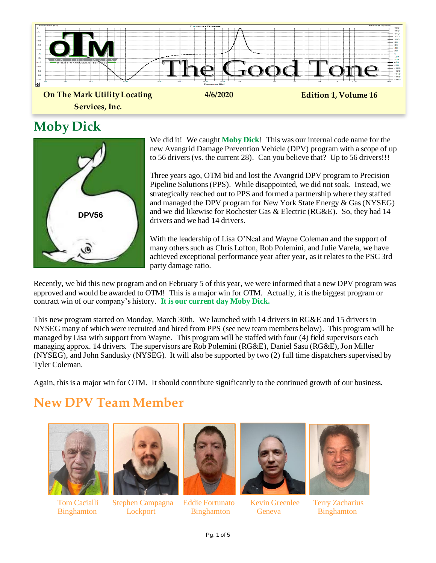

#### **Moby Dick**



We did it! We caught **Moby Dick**! This was our internal code name for the new Avangrid Damage Prevention Vehicle (DPV) program with a scope of up to 56 drivers (vs. the current 28). Can you believe that? Up to 56 drivers!!!

Three years ago, OTM bid and lost the Avangrid DPV program to Precision Pipeline Solutions (PPS). While disappointed, we did not soak. Instead, we strategically reached out to PPS and formed a partnership where they staffed and managed the DPV program for New York State Energy & Gas (NYSEG) and we did likewise for Rochester Gas & Electric (RG&E). So, they had 14 drivers and we had 14 drivers.

With the leadership of Lisa O'Neal and Wayne Coleman and the support of many others such as Chris Lofton, Rob Polemini, and Julie Varela, we have achieved exceptional performance year after year, as it relates to the PSC 3rd party damage ratio.

Recently, we bid this new program and on February 5 of this year, we were informed that a new DPV program was approved and would be awarded to OTM! This is a major win for OTM. Actually, it is the biggest program or contract win of our company's history. **It is our current day Moby Dick.**

This new program started on Monday, March 30th. We launched with 14 drivers in RG&E and 15 drivers in NYSEG many of which were recruited and hired from PPS (see new team members below). This program will be managed by Lisa with support from Wayne. This program will be staffed with four (4) field supervisors each managing approx. 14 drivers. The supervisors are Rob Polemini (RG&E), Daniel Sasu (RG&E), Jon Miller (NYSEG), and John Sandusky (NYSEG). It will also be supported by two (2) full time dispatchers supervised by Tyler Coleman.

Again, this is a major win for OTM. It should contribute significantly to the continued growth of our business.

## **New DPV Team Member**





Tom Cacialli Stephen Campagna Eddie Fortunato Kevin Greenlee Terry Zacharius Binghamton Lockport Binghamton Geneva Binghamton





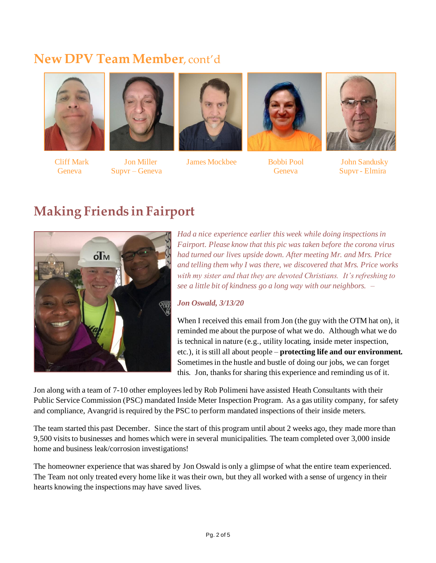#### **New DPV Team Member**, cont'd







Cliff Mark Jon Miller James Mockbee Bobbi Pool John Sandusky





Geneva Supvr – Geneva Supvr – Geneva Geneva Geneva Supvr - Elmira

#### **Making Friends in Fairport**



*Had a nice experience earlier this week while doing inspections in Fairport. Please know that this pic was taken before the corona virus had turned our lives upside down. After meeting Mr. and Mrs. Price and telling them why I was there, we discovered that Mrs. Price works with my sister and that they are devoted Christians. It's refreshing to see a little bit of kindness go a long way with our neighbors. –*

#### *Jon Oswald, 3/13/20*

When I received this email from Jon (the guy with the OTM hat on), it reminded me about the purpose of what we do. Although what we do is technical in nature (e.g., utility locating, inside meter inspection, etc.), it is still all about people – **protecting life and our environment.** Sometimes in the hustle and bustle of doing our jobs, we can forget this. Jon, thanks for sharing this experience and reminding us of it.

Jon along with a team of 7-10 other employees led by Rob Polimeni have assisted Heath Consultants with their Public Service Commission (PSC) mandated Inside Meter Inspection Program. As a gas utility company, for safety and compliance, Avangrid is required by the PSC to perform mandated inspections of their inside meters.

The team started this past December. Since the start of this program until about 2 weeks ago, they made more than 9,500 visits to businesses and homes which were in several municipalities. The team completed over 3,000 inside home and business leak/corrosion investigations!

The homeowner experience that was shared by Jon Oswald is only a glimpse of what the entire team experienced. The Team not only treated every home like it was their own, but they all worked with a sense of urgency in their hearts knowing the inspections may have saved lives.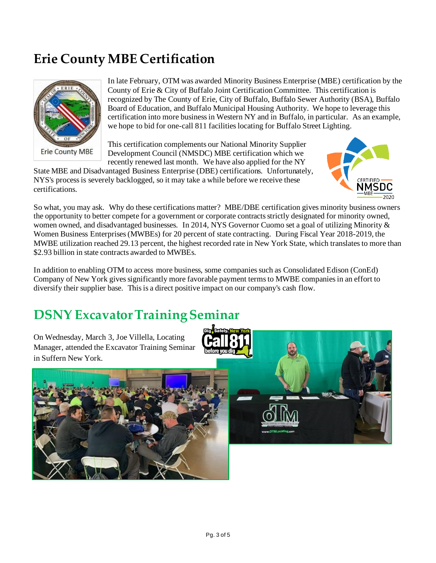## **Erie County MBE Certification**



In late February, OTM was awarded Minority Business Enterprise (MBE) certification by the County of Erie & City of Buffalo Joint Certification Committee. This certification is recognized by The County of Erie, City of Buffalo, Buffalo Sewer Authority (BSA), Buffalo Board of Education, and Buffalo Municipal Housing Authority. We hope to leverage this certification into more business in Western NY and in Buffalo, in particular. As an example, we hope to bid for one-call 811 facilities locating for Buffalo Street Lighting.

This certification complements our National Minority Supplier Development Council (NMSDC) MBE certification which we recently renewed last month. We have also applied for the NY

State MBE and Disadvantaged Business Enterprise (DBE) certifications. Unfortunately, NYS's process is severely backlogged, so it may take a while before we receive these certifications.



So what, you may ask. Why do these certifications matter? MBE/DBE certification gives minority business owners the opportunity to better compete for a government or corporate contracts strictly designated for minority owned, women owned, and disadvantaged businesses. In 2014, NYS Governor Cuomo set a goal of utilizing Minority & Women Business Enterprises (MWBEs) for 20 percent of state contracting. During Fiscal Year 2018-2019, the MWBE utilization reached 29.13 percent, the highest recorded rate in New York State, which translates to more than \$2.93 billion in state contracts awarded to MWBEs.

In addition to enabling OTM to access more business, some companies such as Consolidated Edison (ConEd) Company of New York gives significantly more favorable payment terms to MWBE companies in an effort to diversify their supplier base. This is a direct positive impact on our company's cash flow.

# **DSNY Excavator Training Seminar**

On Wednesday, March 3, Joe Villella, Locating Manager, attended the Excavator Training Seminar in Suffern New York.



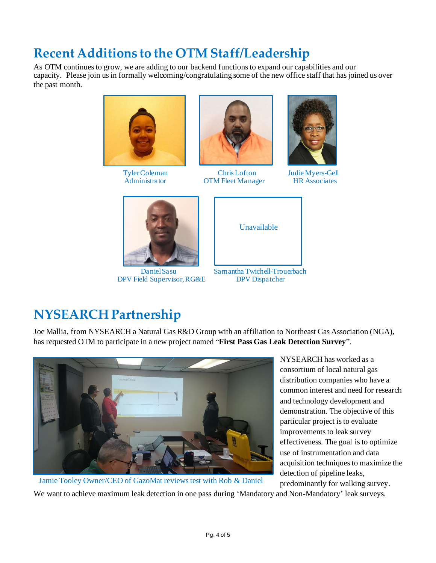# **Recent Additions to the OTM Staff/Leadership**

As OTM continues to grow, we are adding to our backend functions to expand our capabilities and our capacity. Please join us in formally welcoming/congratulating some of the new office staff that has joined us over the past month.





 TylerColeman Chris Lofton Judie Myers-Gell OTM Fleet Manager HR Associates





DPV Field Supervisor, RG&E DPV Dispatcher



# **NYSEARCH Partnership**

Joe Mallia, from NYSEARCH a Natural Gas R&D Group with an affiliation to Northeast Gas Association (NGA), has requested OTM to participate in a new project named "**First Pass Gas Leak Detection Survey**".



NYSEARCH has worked as a consortium of local natural gas distribution companies who have a common interest and need for research and technology development and demonstration. The objective of this particular project is to evaluate improvements to leak survey effectiveness. The goal isto optimize use of instrumentation and data acquisition techniques to maximize the detection of pipeline leaks, predominantly for walking survey.

We want to achieve maximum leak detection in one pass during 'Mandatory and Non-Mandatory' leak surveys.